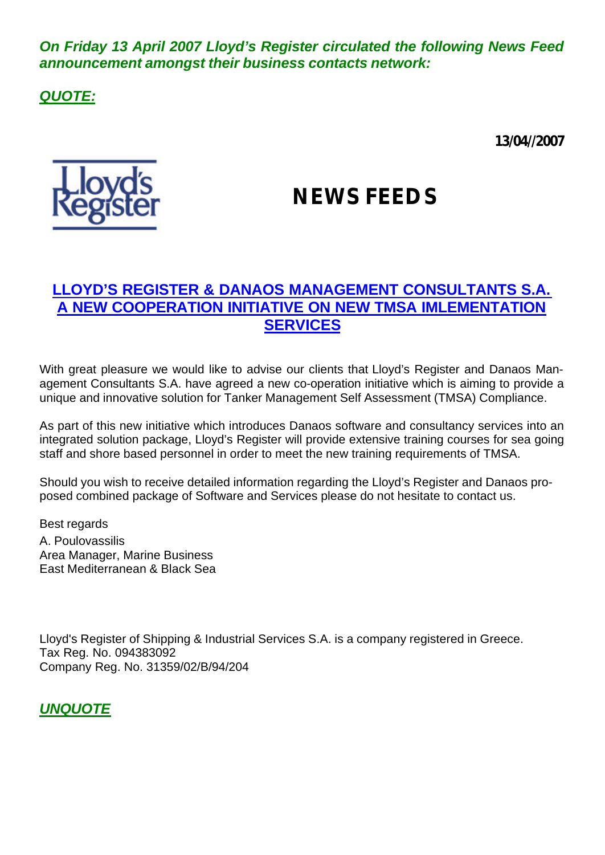*On Friday 13 April 2007 Lloyd's Register circulated the following News Feed announcement amongst their business contacts network:*

*QUOTE:*

**13/04//2007**



# **NEWS FEEDS**

## **LLOYD'S REGISTER & DANAOS MANAGEMENT CONSULTANTS S.A. A NEW COOPERATION INITIATIVE ON NEW TMSA IMLEMENTATION SERVICES**

With great pleasure we would like to advise our clients that Lloyd's Register and Danaos Management Consultants S.A. have agreed a new co-operation initiative which is aiming to provide a unique and innovative solution for Tanker Management Self Assessment (TMSA) Compliance.

As part of this new initiative which introduces Danaos software and consultancy services into an integrated solution package, Lloyd's Register will provide extensive training courses for sea going staff and shore based personnel in order to meet the new training requirements of TMSA.

Should you wish to receive detailed information regarding the Lloyd's Register and Danaos proposed combined package of Software and Services please do not hesitate to contact us.

Best regards A. Poulovassilis Area Manager, Marine Business East Mediterranean & Black Sea

Lloyd's Register of Shipping & Industrial Services S.A. is a company registered in Greece. Tax Reg. No. 094383092 Company Reg. No. 31359/02/B/94/204

*UNQUOTE*